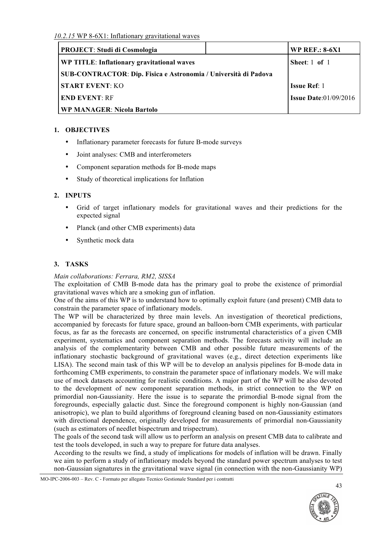| <b>PROJECT: Studi di Cosmologia</b>                                    |  | <b>WP REF.: 8-6X1</b>           |
|------------------------------------------------------------------------|--|---------------------------------|
| WP TITLE: Inflationary gravitational waves                             |  | Sheet: $1$ of $1$               |
| <b>SUB-CONTRACTOR: Dip. Fisica e Astronomia / Università di Padova</b> |  |                                 |
| <b>START EVENT: KO</b>                                                 |  | <b>Issue Ref: 1</b>             |
| <b>END EVENT: RF</b>                                                   |  | <b>Issue Date:</b> $01/09/2016$ |
| <b>WP MANAGER: Nicola Bartolo</b>                                      |  |                                 |

# **1. OBJECTIVES**

- Inflationary parameter forecasts for future B-mode surveys
- Joint analyses: CMB and interferometers
- Component separation methods for B-mode maps
- Study of theoretical implications for Inflation

# **2. INPUTS**

- Grid of target inflationary models for gravitational waves and their predictions for the expected signal
- Planck (and other CMB experiments) data
- Synthetic mock data

# **3. TASKS**

## *Main collaborations: Ferrara, RM2, SISSA*

The exploitation of CMB B-mode data has the primary goal to probe the existence of primordial gravitational waves which are a smoking gun of inflation.

One of the aims of this WP is to understand how to optimally exploit future (and present) CMB data to constrain the parameter space of inflationary models.

The WP will be characterized by three main levels. An investigation of theoretical predictions, accompanied by forecasts for future space, ground an balloon-born CMB experiments, with particular focus, as far as the forecasts are concerned, on specific instrumental characteristics of a given CMB experiment, systematics and component separation methods. The forecasts activity will include an analysis of the complementarity between CMB and other possible future measurements of the inflationary stochastic background of gravitational waves (e.g., direct detection experiments like LISA). The second main task of this WP will be to develop an analysis pipelines for B-mode data in forthcoming CMB experiments, to constrain the parameter space of inflationary models. We will make use of mock datasets accounting for realistic conditions. A major part of the WP will be also devoted to the development of new component separation methods, in strict connection to the WP on primordial non-Gaussianity. Here the issue is to separate the primordial B-mode signal from the foregrounds, especially galactic dust. Since the foreground component is highly non-Gaussian (and anisotropic), we plan to build algorithms of foreground cleaning based on non-Gaussianity estimators with directional dependence, originally developed for measurements of primordial non-Gaussianity (such as estimators of needlet bispectrum and trispectrum).

The goals of the second task will allow us to perform an analysis on present CMB data to calibrate and test the tools developed, in such a way to prepare for future data analyses.

According to the results we find, a study of implications for models of inflation will be drawn. Finally we aim to perform a study of inflationary models beyond the standard power spectrum analyses to test non-Gaussian signatures in the gravitational wave signal (in connection with the non-Gaussianity WP)

MO-IPC-2006-003 – Rev. C - Formato per allegato Tecnico Gestionale Standard per i contratti

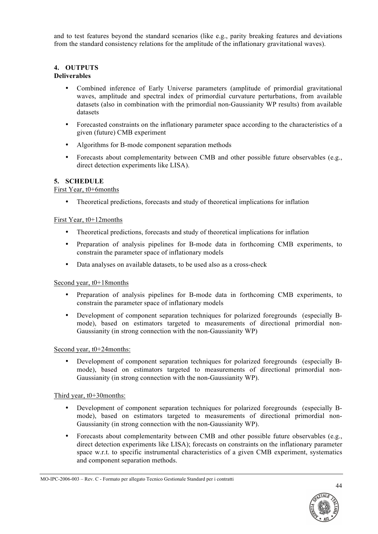and to test features beyond the standard scenarios (like e.g., parity breaking features and deviations from the standard consistency relations for the amplitude of the inflationary gravitational waves).

# **4. OUTPUTS**

#### **Deliverables**

- Combined inference of Early Universe parameters (amplitude of primordial gravitational waves, amplitude and spectral index of primordial curvature perturbations, from available datasets (also in combination with the primordial non-Gaussianity WP results) from available datasets
- Forecasted constraints on the inflationary parameter space according to the characteristics of a given (future) CMB experiment
- Algorithms for B-mode component separation methods
- Forecasts about complementarity between CMB and other possible future observables (e.g., direct detection experiments like LISA).

### **5. SCHEDULE**

### First Year, t0+6months

• Theoretical predictions, forecasts and study of theoretical implications for inflation

#### First Year, t0+12months

- Theoretical predictions, forecasts and study of theoretical implications for inflation
- Preparation of analysis pipelines for B-mode data in forthcoming CMB experiments, to constrain the parameter space of inflationary models
- Data analyses on available datasets, to be used also as a cross-check

#### Second year, t0+18months

- Preparation of analysis pipelines for B-mode data in forthcoming CMB experiments, to constrain the parameter space of inflationary models
- Development of component separation techniques for polarized foregrounds (especially Bmode), based on estimators targeted to measurements of directional primordial non-Gaussianity (in strong connection with the non-Gaussianity WP)

### Second year, t0+24months:

• Development of component separation techniques for polarized foregrounds (especially Bmode), based on estimators targeted to measurements of directional primordial non-Gaussianity (in strong connection with the non-Gaussianity WP).

#### Third year, t0+30months:

- Development of component separation techniques for polarized foregrounds (especially Bmode), based on estimators targeted to measurements of directional primordial non-Gaussianity (in strong connection with the non-Gaussianity WP).
- Forecasts about complementarity between CMB and other possible future observables (e.g., direct detection experiments like LISA); forecasts on constraints on the inflationary parameter space w.r.t. to specific instrumental characteristics of a given CMB experiment, systematics and component separation methods.

MO-IPC-2006-003 – Rev. C - Formato per allegato Tecnico Gestionale Standard per i contratti